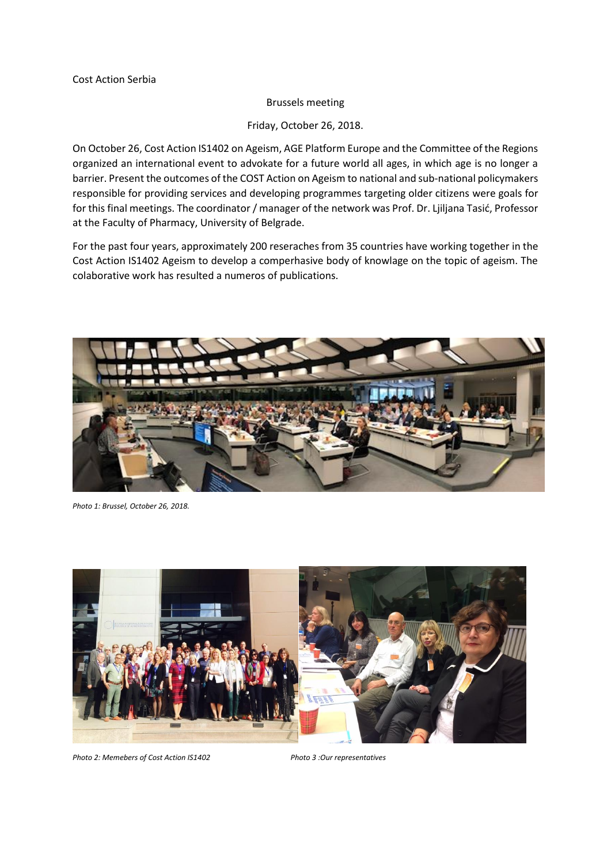## Brussels meeting

Friday, October 26, 2018.

On October 26, Cost Action IS1402 on Ageism, AGE Platform Europe and the Committee of the Regions organized an international event to advokate for a future world all ages, in which age is no longer a barrier. Present the outcomes of the COST Action on Ageism to national and sub-national policymakers responsible for providing services and developing programmes targeting older citizens were goals for for this final meetings. The coordinator / manager of the network was Prof. Dr. Ljiljana Tasić, Professor at the Faculty of Pharmacy, University of Belgrade.

For the past four years, approximately 200 reseraches from 35 countries have working together in the Cost Action IS1402 Ageism to develop a comperhasive body of knowlage on the topic of ageism. The colaborative work has resulted a numeros of publications.



*Photo 1: Brussel, October 26, 2018.* 



*Photo 2: Memebers of Cost Action IS1402 Photo 3 :Our representatives*